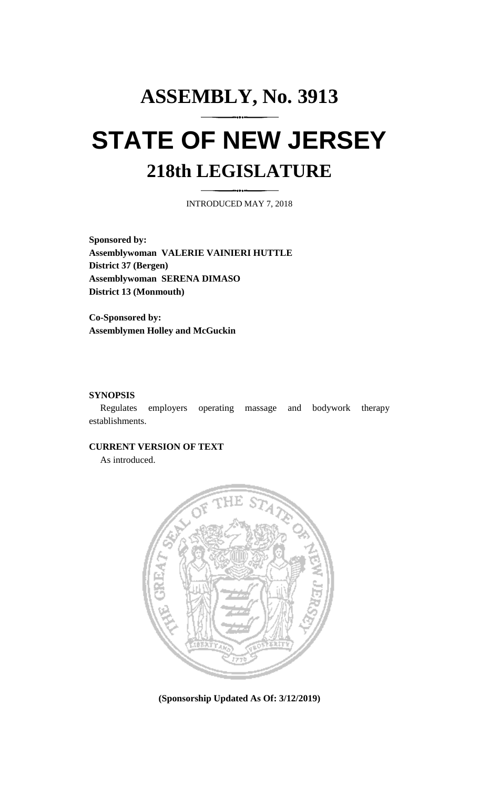# **ASSEMBLY, No. 3913 STATE OF NEW JERSEY 218th LEGISLATURE**

INTRODUCED MAY 7, 2018

**Sponsored by: Assemblywoman VALERIE VAINIERI HUTTLE District 37 (Bergen) Assemblywoman SERENA DIMASO District 13 (Monmouth)**

**Co-Sponsored by: Assemblymen Holley and McGuckin**

## **SYNOPSIS**

Regulates employers operating massage and bodywork therapy establishments.

### **CURRENT VERSION OF TEXT**

As introduced.



**(Sponsorship Updated As Of: 3/12/2019)**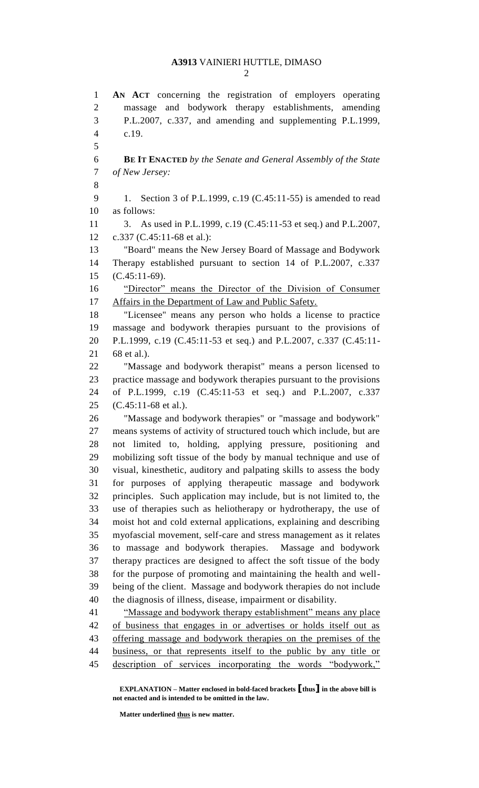**AN ACT** concerning the registration of employers operating massage and bodywork therapy establishments, amending P.L.2007, c.337, and amending and supplementing P.L.1999, c.19. **BE IT ENACTED** *by the Senate and General Assembly of the State of New Jersey:* 1. Section 3 of P.L.1999, c.19 (C.45:11-55) is amended to read as follows: 3. As used in P.L.1999, c.19 (C.45:11-53 et seq.) and P.L.2007, c.337 (C.45:11-68 et al.): "Board" means the New Jersey Board of Massage and Bodywork Therapy established pursuant to section 14 of P.L.2007, c.337 (C.45:11-69). 16 "Director" means the Director of the Division of Consumer Affairs in the Department of Law and Public Safety. "Licensee" means any person who holds a license to practice massage and bodywork therapies pursuant to the provisions of P.L.1999, c.19 (C.45:11-53 et seq.) and P.L.2007, c.337 (C.45:11- 68 et al.). "Massage and bodywork therapist" means a person licensed to practice massage and bodywork therapies pursuant to the provisions of P.L.1999, c.19 (C.45:11-53 et seq.) and P.L.2007, c.337 (C.45:11-68 et al.). "Massage and bodywork therapies" or "massage and bodywork" means systems of activity of structured touch which include, but are not limited to, holding, applying pressure, positioning and mobilizing soft tissue of the body by manual technique and use of visual, kinesthetic, auditory and palpating skills to assess the body for purposes of applying therapeutic massage and bodywork principles. Such application may include, but is not limited to, the use of therapies such as heliotherapy or hydrotherapy, the use of moist hot and cold external applications, explaining and describing myofascial movement, self-care and stress management as it relates to massage and bodywork therapies. Massage and bodywork therapy practices are designed to affect the soft tissue of the body for the purpose of promoting and maintaining the health and well- being of the client. Massage and bodywork therapies do not include the diagnosis of illness, disease, impairment or disability. "Massage and bodywork therapy establishment" means any place of business that engages in or advertises or holds itself out as offering massage and bodywork therapies on the premises of the business, or that represents itself to the public by any title or description of services incorporating the words "bodywork,"

**EXPLANATION – Matter enclosed in bold-faced brackets [thus] in the above bill is not enacted and is intended to be omitted in the law.**

**Matter underlined thus is new matter.**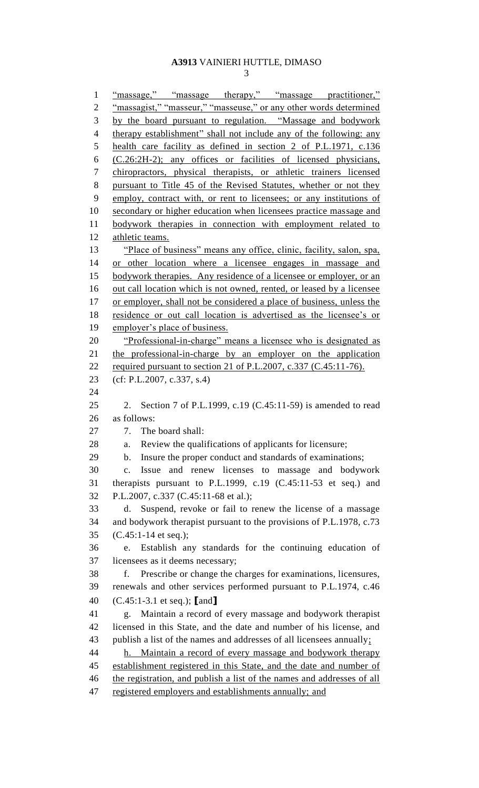"massage," "massage therapy," "massage practitioner," 2 "massagist," "masseur," "masseuse," or any other words determined by the board pursuant to regulation. "Massage and bodywork 4 therapy establishment" shall not include any of the following: any health care facility as defined in section 2 of P.L.1971, c.136 (C.26:2H-2); any offices or facilities of licensed physicians, chiropractors, physical therapists, or athletic trainers licensed pursuant to Title 45 of the Revised Statutes, whether or not they employ, contract with, or rent to licensees; or any institutions of secondary or higher education when licensees practice massage and bodywork therapies in connection with employment related to 12 athletic teams. "Place of business" means any office, clinic, facility, salon, spa, or other location where a licensee engages in massage and 15 bodywork therapies. Any residence of a licensee or employer, or an out call location which is not owned, rented, or leased by a licensee 17 or employer, shall not be considered a place of business, unless the residence or out call location is advertised as the licensee's or employer's place of business. "Professional-in-charge" means a licensee who is designated as the professional-in-charge by an employer on the application required pursuant to section 21 of P.L.2007, c.337 (C.45:11-76). (cf: P.L.2007, c.337, s.4) 2. Section 7 of P.L.1999, c.19 (C.45:11-59) is amended to read as follows: 7. The board shall: a. Review the qualifications of applicants for licensure; b. Insure the proper conduct and standards of examinations; c. Issue and renew licenses to massage and bodywork therapists pursuant to P.L.1999, c.19 (C.45:11-53 et seq.) and P.L.2007, c.337 (C.45:11-68 et al.); d. Suspend, revoke or fail to renew the license of a massage and bodywork therapist pursuant to the provisions of P.L.1978, c.73 (C.45:1-14 et seq.); e. Establish any standards for the continuing education of licensees as it deems necessary; f. Prescribe or change the charges for examinations, licensures, renewals and other services performed pursuant to P.L.1974, c.46 (C.45:1-3.1 et seq.); **[**and**]** g. Maintain a record of every massage and bodywork therapist licensed in this State, and the date and number of his license, and publish a list of the names and addresses of all licensees annually; h. Maintain a record of every massage and bodywork therapy establishment registered in this State, and the date and number of 46 the registration, and publish a list of the names and addresses of all 47 registered employers and establishments annually; and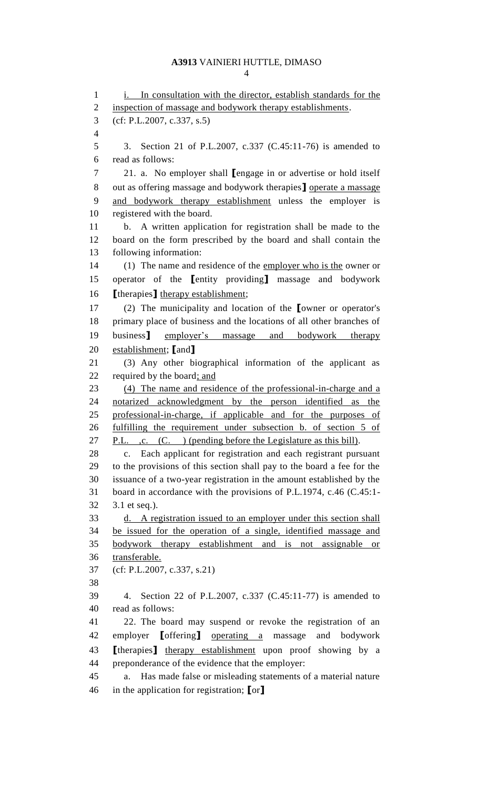1 i. In consultation with the director, establish standards for the 2 inspection of massage and bodywork therapy establishments. (cf: P.L.2007, c.337, s.5) 3. Section 21 of P.L.2007, c.337 (C.45:11-76) is amended to read as follows: 21. a. No employer shall **[**engage in or advertise or hold itself out as offering massage and bodywork therapies**]** operate a massage and bodywork therapy establishment unless the employer is registered with the board. b. A written application for registration shall be made to the board on the form prescribed by the board and shall contain the following information: (1) The name and residence of the employer who is the owner or operator of the **[**entity providing**]** massage and bodywork **[**therapies**]** therapy establishment; (2) The municipality and location of the **[**owner or operator's primary place of business and the locations of all other branches of business**]** employer's massage and bodywork therapy establishment; **[**and**]** (3) Any other biographical information of the applicant as required by the board; and (4) The name and residence of the professional-in-charge and a notarized acknowledgment by the person identified as the professional-in-charge, if applicable and for the purposes of fulfilling the requirement under subsection b. of section 5 of 27 P.L. , c. (C. ) (pending before the Legislature as this bill). c. Each applicant for registration and each registrant pursuant to the provisions of this section shall pay to the board a fee for the issuance of a two-year registration in the amount established by the board in accordance with the provisions of P.L.1974, c.46 (C.45:1- 3.1 et seq.). d. A registration issued to an employer under this section shall be issued for the operation of a single, identified massage and bodywork therapy establishment and is not assignable or transferable. (cf: P.L.2007, c.337, s.21) 4. Section 22 of P.L.2007, c.337 (C.45:11-77) is amended to read as follows: 22. The board may suspend or revoke the registration of an employer **[**offering**]** operating a massage and bodywork **[**therapies**]** therapy establishment upon proof showing by a preponderance of the evidence that the employer: a. Has made false or misleading statements of a material nature in the application for registration; **[**or**]**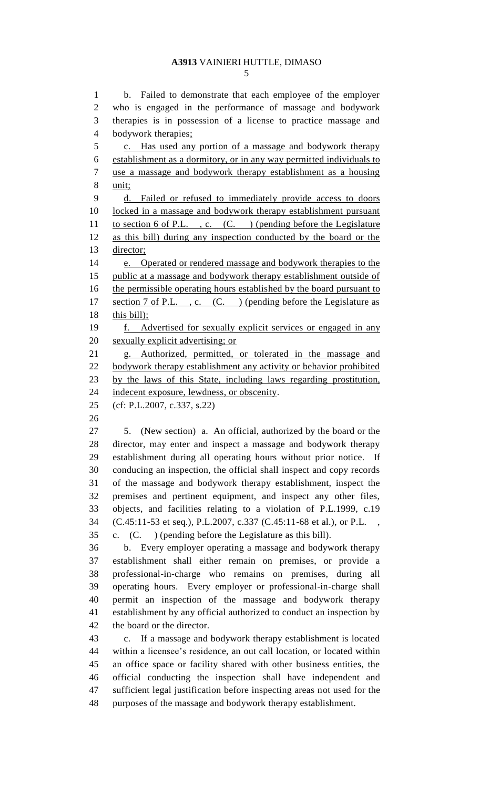b. Failed to demonstrate that each employee of the employer who is engaged in the performance of massage and bodywork therapies is in possession of a license to practice massage and bodywork therapies; c. Has used any portion of a massage and bodywork therapy establishment as a dormitory, or in any way permitted individuals to use a massage and bodywork therapy establishment as a housing unit; d. Failed or refused to immediately provide access to doors locked in a massage and bodywork therapy establishment pursuant 11 to section 6 of P.L., c. (C.) (pending before the Legislature as this bill) during any inspection conducted by the board or the director; e. Operated or rendered massage and bodywork therapies to the public at a massage and bodywork therapy establishment outside of 16 the permissible operating hours established by the board pursuant to 17 section 7 of P.L., c. (C.) (pending before the Legislature as 18 this bill); f. Advertised for sexually explicit services or engaged in any sexually explicit advertising; or g. Authorized, permitted, or tolerated in the massage and 22 bodywork therapy establishment any activity or behavior prohibited by the laws of this State, including laws regarding prostitution, indecent exposure, lewdness, or obscenity. (cf: P.L.2007, c.337, s.22) 5. (New section) a. An official, authorized by the board or the director, may enter and inspect a massage and bodywork therapy establishment during all operating hours without prior notice. If conducing an inspection, the official shall inspect and copy records of the massage and bodywork therapy establishment, inspect the premises and pertinent equipment, and inspect any other files, objects, and facilities relating to a violation of P.L.1999, c.19 (C.45:11-53 et seq.), P.L.2007, c.337 (C.45:11-68 et al.), or P.L. , c. (C. ) (pending before the Legislature as this bill). b. Every employer operating a massage and bodywork therapy establishment shall either remain on premises, or provide a professional-in-charge who remains on premises, during all operating hours. Every employer or professional-in-charge shall permit an inspection of the massage and bodywork therapy establishment by any official authorized to conduct an inspection by the board or the director. c. If a massage and bodywork therapy establishment is located

 within a licensee's residence, an out call location, or located within an office space or facility shared with other business entities, the official conducting the inspection shall have independent and sufficient legal justification before inspecting areas not used for the purposes of the massage and bodywork therapy establishment.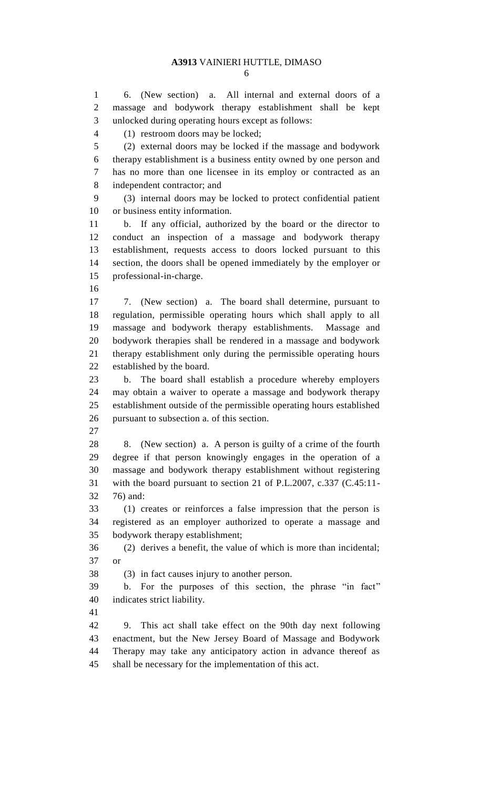6. (New section) a. All internal and external doors of a massage and bodywork therapy establishment shall be kept unlocked during operating hours except as follows:

(1) restroom doors may be locked;

 (2) external doors may be locked if the massage and bodywork therapy establishment is a business entity owned by one person and has no more than one licensee in its employ or contracted as an independent contractor; and

 (3) internal doors may be locked to protect confidential patient or business entity information.

 b. If any official, authorized by the board or the director to conduct an inspection of a massage and bodywork therapy establishment, requests access to doors locked pursuant to this section, the doors shall be opened immediately by the employer or professional-in-charge.

 7. (New section) a. The board shall determine, pursuant to regulation, permissible operating hours which shall apply to all massage and bodywork therapy establishments. Massage and bodywork therapies shall be rendered in a massage and bodywork therapy establishment only during the permissible operating hours established by the board.

 b. The board shall establish a procedure whereby employers may obtain a waiver to operate a massage and bodywork therapy establishment outside of the permissible operating hours established pursuant to subsection a. of this section.

 8. (New section) a. A person is guilty of a crime of the fourth degree if that person knowingly engages in the operation of a massage and bodywork therapy establishment without registering with the board pursuant to section 21 of P.L.2007, c.337 (C.45:11- 76) and:

 (1) creates or reinforces a false impression that the person is registered as an employer authorized to operate a massage and bodywork therapy establishment;

 (2) derives a benefit, the value of which is more than incidental; or

(3) in fact causes injury to another person.

 b. For the purposes of this section, the phrase "in fact" indicates strict liability.

 9. This act shall take effect on the 90th day next following enactment, but the New Jersey Board of Massage and Bodywork Therapy may take any anticipatory action in advance thereof as shall be necessary for the implementation of this act.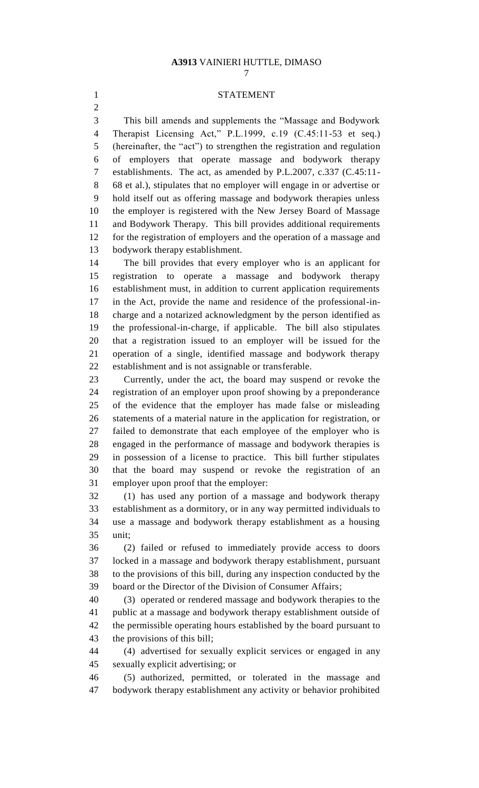#### STATEMENT

 This bill amends and supplements the "Massage and Bodywork Therapist Licensing Act," P.L.1999, c.19 (C.45:11-53 et seq.) (hereinafter, the "act") to strengthen the registration and regulation of employers that operate massage and bodywork therapy establishments. The act, as amended by P.L.2007, c.337 (C.45:11- 68 et al.), stipulates that no employer will engage in or advertise or hold itself out as offering massage and bodywork therapies unless the employer is registered with the New Jersey Board of Massage and Bodywork Therapy. This bill provides additional requirements for the registration of employers and the operation of a massage and bodywork therapy establishment.

 The bill provides that every employer who is an applicant for registration to operate a massage and bodywork therapy establishment must, in addition to current application requirements in the Act, provide the name and residence of the professional-in- charge and a notarized acknowledgment by the person identified as the professional-in-charge, if applicable. The bill also stipulates that a registration issued to an employer will be issued for the operation of a single, identified massage and bodywork therapy establishment and is not assignable or transferable.

 Currently, under the act, the board may suspend or revoke the registration of an employer upon proof showing by a preponderance of the evidence that the employer has made false or misleading statements of a material nature in the application for registration, or failed to demonstrate that each employee of the employer who is engaged in the performance of massage and bodywork therapies is in possession of a license to practice. This bill further stipulates that the board may suspend or revoke the registration of an employer upon proof that the employer:

 (1) has used any portion of a massage and bodywork therapy establishment as a dormitory, or in any way permitted individuals to use a massage and bodywork therapy establishment as a housing unit;

 (2) failed or refused to immediately provide access to doors locked in a massage and bodywork therapy establishment, pursuant to the provisions of this bill, during any inspection conducted by the board or the Director of the Division of Consumer Affairs;

 (3) operated or rendered massage and bodywork therapies to the public at a massage and bodywork therapy establishment outside of the permissible operating hours established by the board pursuant to the provisions of this bill;

 (4) advertised for sexually explicit services or engaged in any sexually explicit advertising; or

 (5) authorized, permitted, or tolerated in the massage and bodywork therapy establishment any activity or behavior prohibited